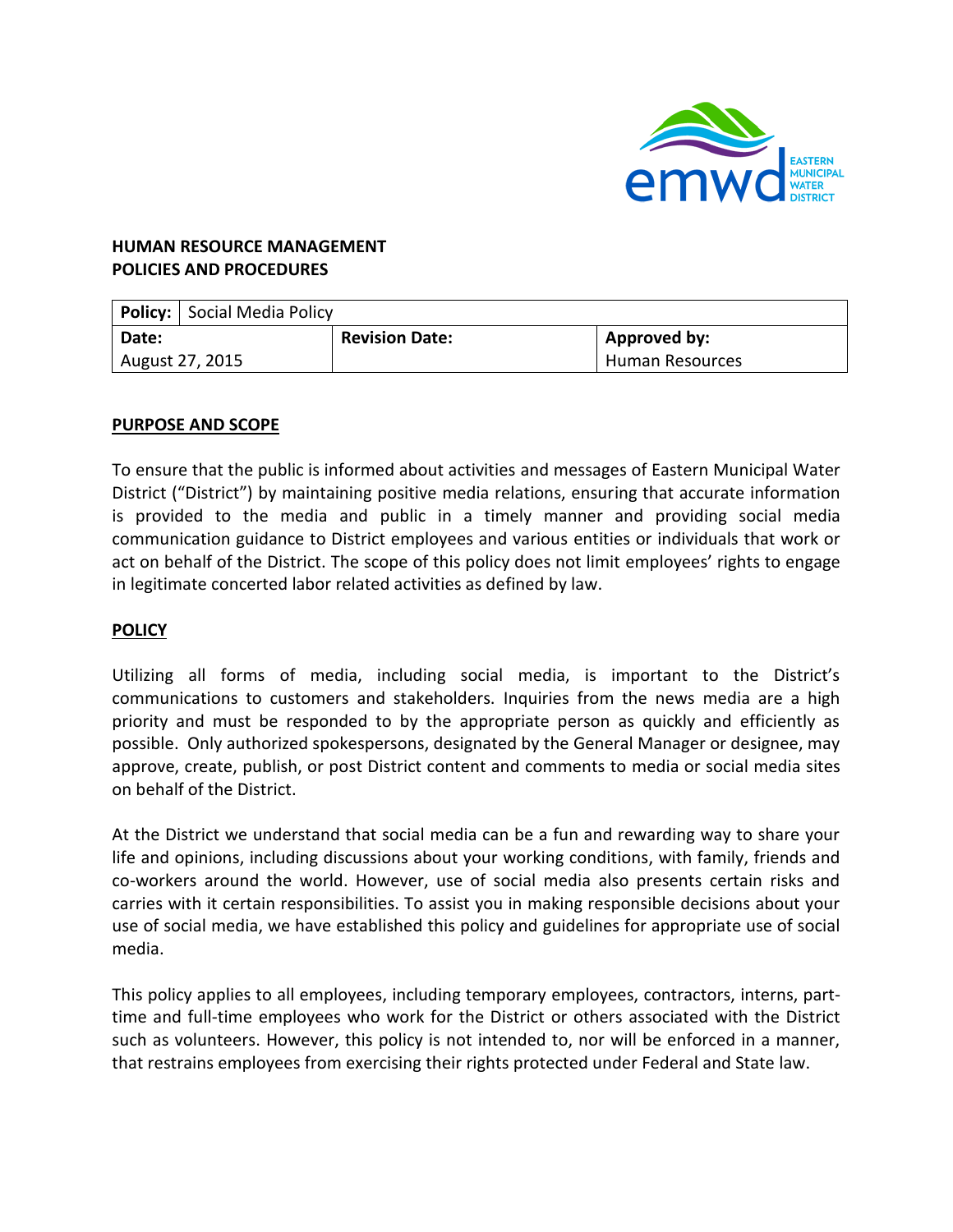

## **HUMAN RESOURCE MANAGEMENT POLICIES AND PROCEDURES**

|                 | <b>Policy:</b> Social Media Policy |                       |                 |
|-----------------|------------------------------------|-----------------------|-----------------|
| Date:           |                                    | <b>Revision Date:</b> | Approved by:    |
| August 27, 2015 |                                    |                       | Human Resources |

## **PURPOSE AND SCOPE**

To ensure that the public is informed about activities and messages of Eastern Municipal Water District ("District") by maintaining positive media relations, ensuring that accurate information is provided to the media and public in a timely manner and providing social media communication guidance to District employees and various entities or individuals that work or act on behalf of the District. The scope of this policy does not limit employees' rights to engage in legitimate concerted labor related activities as defined by law.

## **POLICY**

Utilizing all forms of media, including social media, is important to the District's communications to customers and stakeholders. Inquiries from the news media are a high priority and must be responded to by the appropriate person as quickly and efficiently as possible. Only authorized spokespersons, designated by the General Manager or designee, may approve, create, publish, or post District content and comments to media or social media sites on behalf of the District.

At the District we understand that social media can be a fun and rewarding way to share your life and opinions, including discussions about your working conditions, with family, friends and co-workers around the world. However, use of social media also presents certain risks and carries with it certain responsibilities. To assist you in making responsible decisions about your use of social media, we have established this policy and guidelines for appropriate use of social media.

This policy applies to all employees, including temporary employees, contractors, interns, parttime and full-time employees who work for the District or others associated with the District such as volunteers. However, this policy is not intended to, nor will be enforced in a manner, that restrains employees from exercising their rights protected under Federal and State law.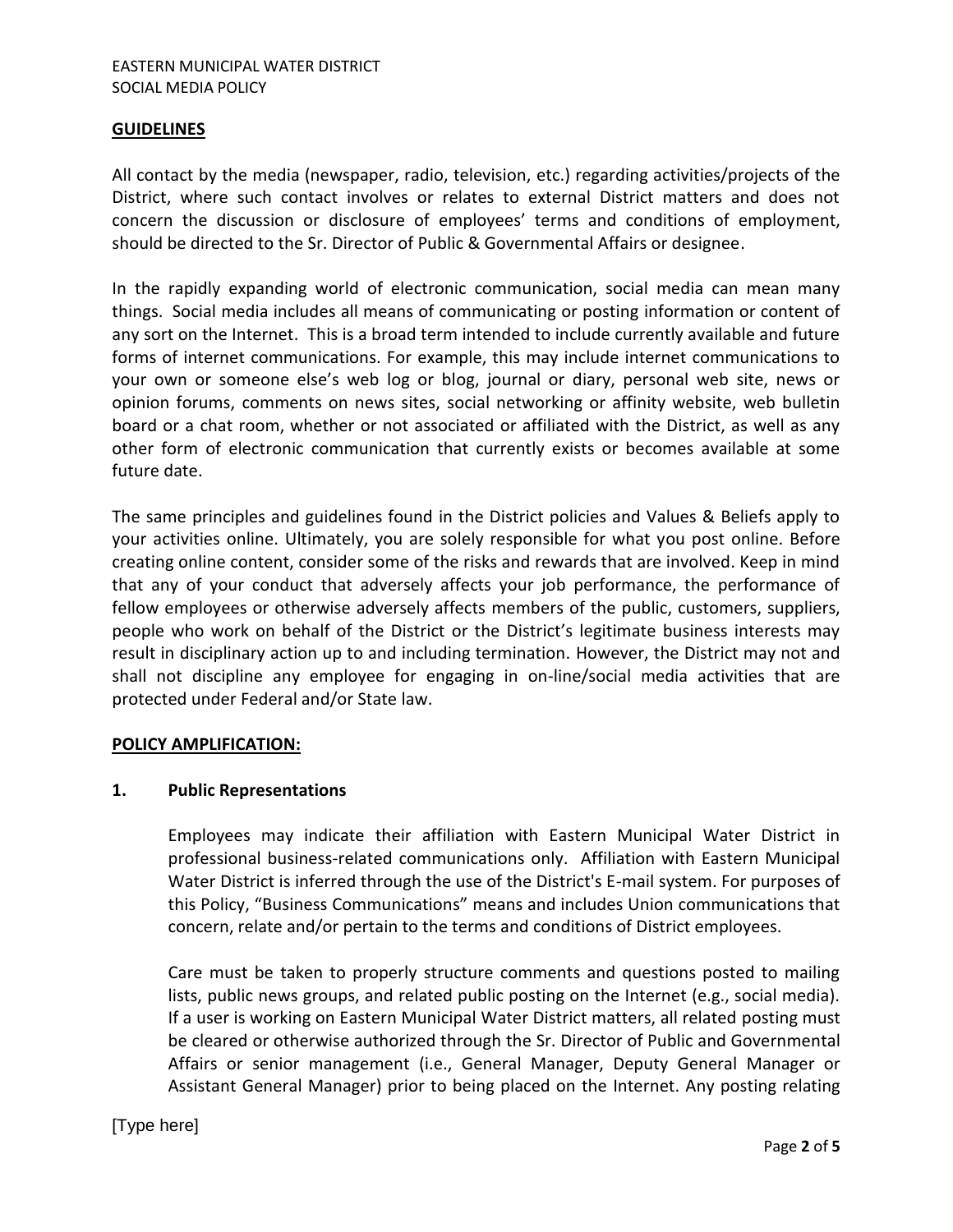### EASTERN MUNICIPAL WATER DISTRICT SOCIAL MEDIA POLICY

#### **GUIDELINES**

All contact by the media (newspaper, radio, television, etc.) regarding activities/projects of the District, where such contact involves or relates to external District matters and does not concern the discussion or disclosure of employees' terms and conditions of employment, should be directed to the Sr. Director of Public & Governmental Affairs or designee.

In the rapidly expanding world of electronic communication, social media can mean many things. Social media includes all means of communicating or posting information or content of any sort on the Internet. This is a broad term intended to include currently available and future forms of internet communications. For example, this may include internet communications to your own or someone else's web log or blog, journal or diary, personal web site, news or opinion forums, comments on news sites, social networking or affinity website, web bulletin board or a chat room, whether or not associated or affiliated with the District, as well as any other form of electronic communication that currently exists or becomes available at some future date.

The same principles and guidelines found in the District policies and Values & Beliefs apply to your activities online. Ultimately, you are solely responsible for what you post online. Before creating online content, consider some of the risks and rewards that are involved. Keep in mind that any of your conduct that adversely affects your job performance, the performance of fellow employees or otherwise adversely affects members of the public, customers, suppliers, people who work on behalf of the District or the District's legitimate business interests may result in disciplinary action up to and including termination. However, the District may not and shall not discipline any employee for engaging in on-line/social media activities that are protected under Federal and/or State law.

### **POLICY AMPLIFICATION:**

### **1. Public Representations**

Employees may indicate their affiliation with Eastern Municipal Water District in professional business-related communications only. Affiliation with Eastern Municipal Water District is inferred through the use of the District's E-mail system. For purposes of this Policy, "Business Communications" means and includes Union communications that concern, relate and/or pertain to the terms and conditions of District employees.

Care must be taken to properly structure comments and questions posted to mailing lists, public news groups, and related public posting on the Internet (e.g., social media). If a user is working on Eastern Municipal Water District matters, all related posting must be cleared or otherwise authorized through the Sr. Director of Public and Governmental Affairs or senior management (i.e., General Manager, Deputy General Manager or Assistant General Manager) prior to being placed on the Internet. Any posting relating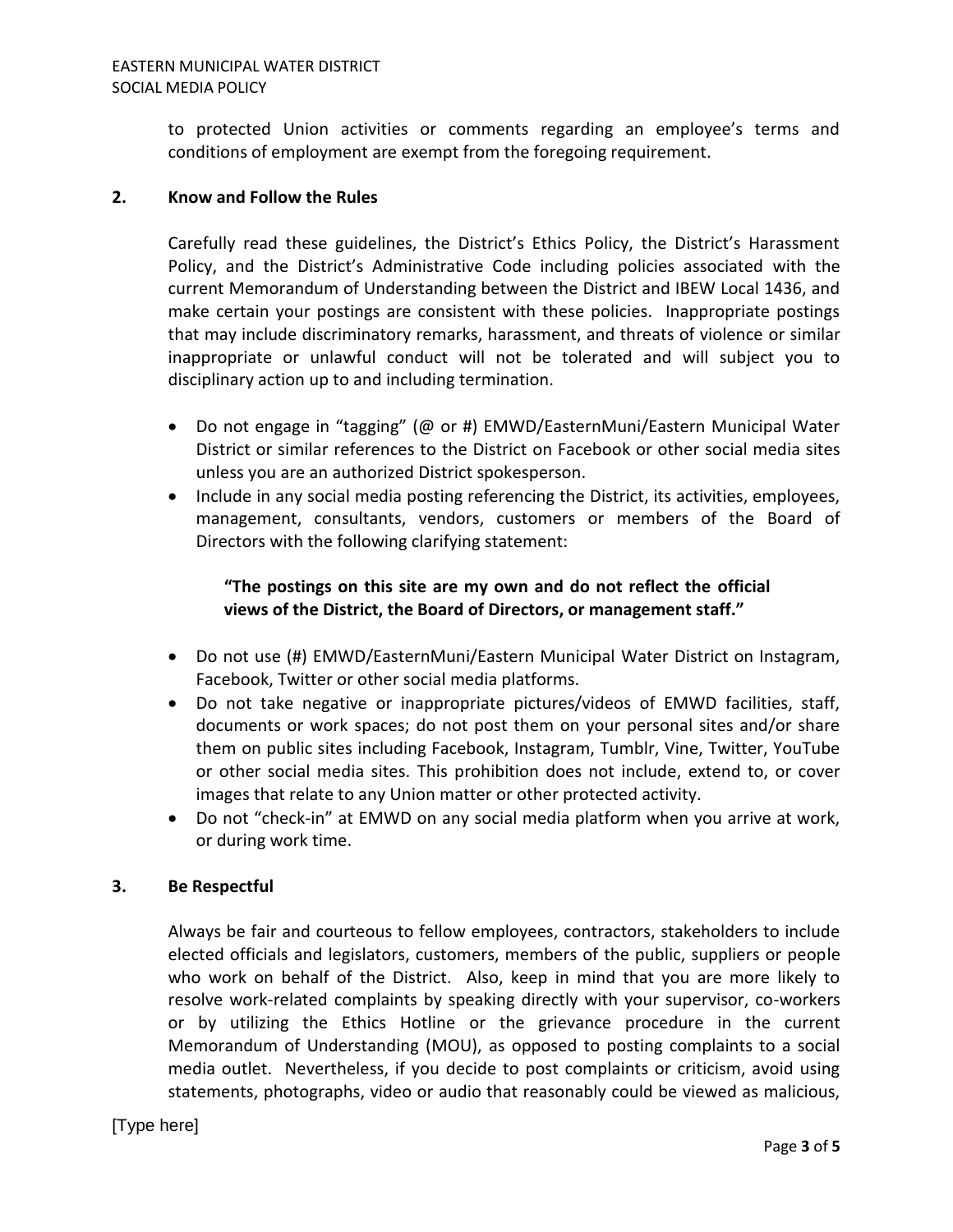to protected Union activities or comments regarding an employee's terms and conditions of employment are exempt from the foregoing requirement.

## **2. Know and Follow the Rules**

Carefully read these guidelines, the District's Ethics Policy, the District's Harassment Policy, and the District's Administrative Code including policies associated with the current Memorandum of Understanding between the District and IBEW Local 1436, and make certain your postings are consistent with these policies. Inappropriate postings that may include discriminatory remarks, harassment, and threats of violence or similar inappropriate or unlawful conduct will not be tolerated and will subject you to disciplinary action up to and including termination.

- Do not engage in "tagging" (@ or #) EMWD/EasternMuni/Eastern Municipal Water District or similar references to the District on Facebook or other social media sites unless you are an authorized District spokesperson.
- Include in any social media posting referencing the District, its activities, employees, management, consultants, vendors, customers or members of the Board of Directors with the following clarifying statement:

# **"The postings on this site are my own and do not reflect the official views of the District, the Board of Directors, or management staff."**

- Do not use (#) EMWD/EasternMuni/Eastern Municipal Water District on Instagram, Facebook, Twitter or other social media platforms.
- Do not take negative or inappropriate pictures/videos of EMWD facilities, staff, documents or work spaces; do not post them on your personal sites and/or share them on public sites including Facebook, Instagram, Tumblr, Vine, Twitter, YouTube or other social media sites. This prohibition does not include, extend to, or cover images that relate to any Union matter or other protected activity.
- Do not "check-in" at EMWD on any social media platform when you arrive at work, or during work time.

## **3. Be Respectful**

Always be fair and courteous to fellow employees, contractors, stakeholders to include elected officials and legislators, customers, members of the public, suppliers or people who work on behalf of the District. Also, keep in mind that you are more likely to resolve work-related complaints by speaking directly with your supervisor, co-workers or by utilizing the Ethics Hotline or the grievance procedure in the current Memorandum of Understanding (MOU), as opposed to posting complaints to a social media outlet. Nevertheless, if you decide to post complaints or criticism, avoid using statements, photographs, video or audio that reasonably could be viewed as malicious,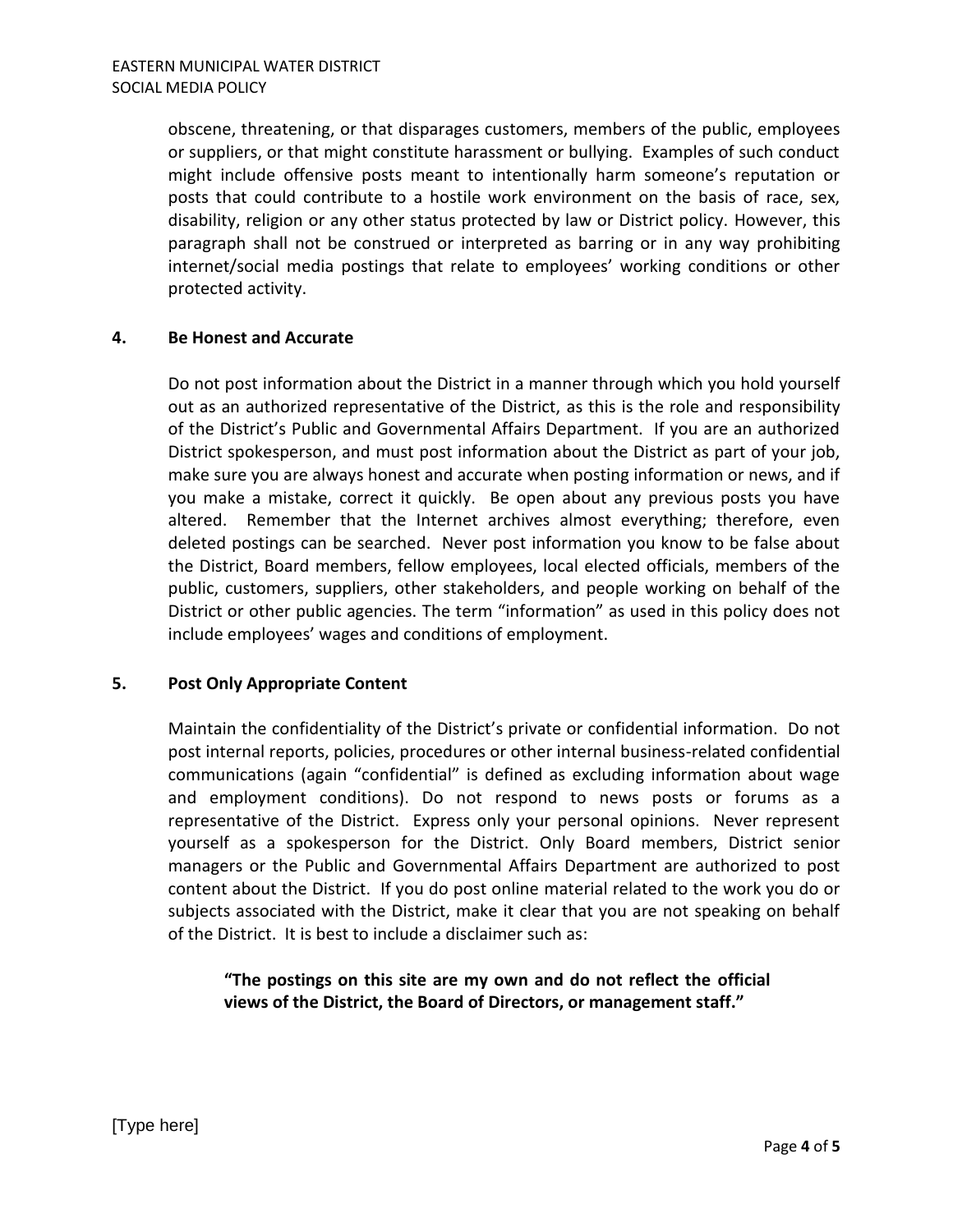obscene, threatening, or that disparages customers, members of the public, employees or suppliers, or that might constitute harassment or bullying. Examples of such conduct might include offensive posts meant to intentionally harm someone's reputation or posts that could contribute to a hostile work environment on the basis of race, sex, disability, religion or any other status protected by law or District policy. However, this paragraph shall not be construed or interpreted as barring or in any way prohibiting internet/social media postings that relate to employees' working conditions or other protected activity.

### **4. Be Honest and Accurate**

Do not post information about the District in a manner through which you hold yourself out as an authorized representative of the District, as this is the role and responsibility of the District's Public and Governmental Affairs Department. If you are an authorized District spokesperson, and must post information about the District as part of your job, make sure you are always honest and accurate when posting information or news, and if you make a mistake, correct it quickly. Be open about any previous posts you have altered. Remember that the Internet archives almost everything; therefore, even deleted postings can be searched. Never post information you know to be false about the District, Board members, fellow employees, local elected officials, members of the public, customers, suppliers, other stakeholders, and people working on behalf of the District or other public agencies. The term "information" as used in this policy does not include employees' wages and conditions of employment.

### **5. Post Only Appropriate Content**

Maintain the confidentiality of the District's private or confidential information. Do not post internal reports, policies, procedures or other internal business-related confidential communications (again "confidential" is defined as excluding information about wage and employment conditions). Do not respond to news posts or forums as a representative of the District. Express only your personal opinions. Never represent yourself as a spokesperson for the District. Only Board members, District senior managers or the Public and Governmental Affairs Department are authorized to post content about the District. If you do post online material related to the work you do or subjects associated with the District, make it clear that you are not speaking on behalf of the District. It is best to include a disclaimer such as:

# **"The postings on this site are my own and do not reflect the official views of the District, the Board of Directors, or management staff."**